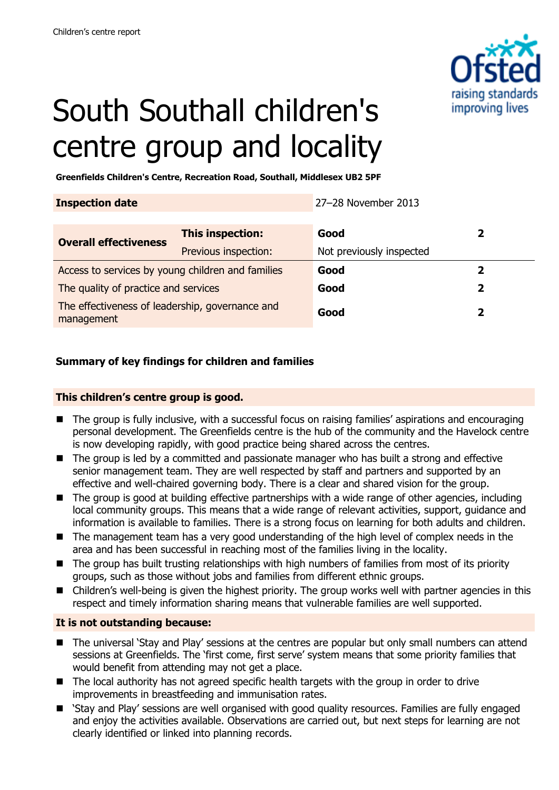

# South Southall children's centre group and locality

**Greenfields Children's Centre, Recreation Road, Southall, Middlesex UB2 5PF**

**Inspection date** 27–28 November 2013

| <b>Overall effectiveness</b>                                  | This inspection:     | Good                     |   |
|---------------------------------------------------------------|----------------------|--------------------------|---|
|                                                               | Previous inspection: | Not previously inspected |   |
| Access to services by young children and families             |                      | Good                     |   |
| The quality of practice and services                          |                      | Good                     | 2 |
| The effectiveness of leadership, governance and<br>management |                      | Good                     |   |

#### **Summary of key findings for children and families**

#### **This children's centre group is good.**

- The group is fully inclusive, with a successful focus on raising families' aspirations and encouraging personal development. The Greenfields centre is the hub of the community and the Havelock centre is now developing rapidly, with good practice being shared across the centres.
- The group is led by a committed and passionate manager who has built a strong and effective senior management team. They are well respected by staff and partners and supported by an effective and well-chaired governing body. There is a clear and shared vision for the group.
- The group is good at building effective partnerships with a wide range of other agencies, including local community groups. This means that a wide range of relevant activities, support, guidance and information is available to families. There is a strong focus on learning for both adults and children.
- The management team has a very good understanding of the high level of complex needs in the area and has been successful in reaching most of the families living in the locality.
- The group has built trusting relationships with high numbers of families from most of its priority groups, such as those without jobs and families from different ethnic groups.
- Children's well-being is given the highest priority. The group works well with partner agencies in this respect and timely information sharing means that vulnerable families are well supported.

#### **It is not outstanding because:**

- The universal 'Stay and Play' sessions at the centres are popular but only small numbers can attend sessions at Greenfields. The 'first come, first serve' system means that some priority families that would benefit from attending may not get a place.
- The local authority has not agreed specific health targets with the group in order to drive improvements in breastfeeding and immunisation rates.
- 'Stay and Play' sessions are well organised with good quality resources. Families are fully engaged and enjoy the activities available. Observations are carried out, but next steps for learning are not clearly identified or linked into planning records.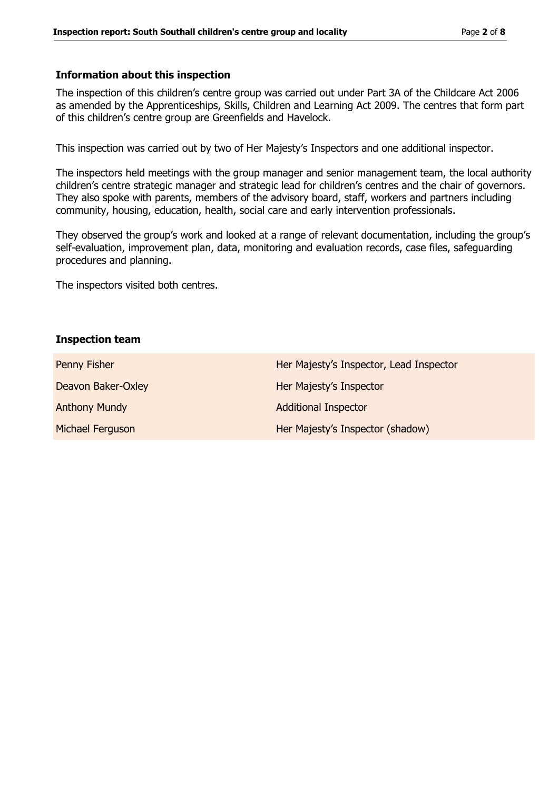#### **Information about this inspection**

The inspection of this children's centre group was carried out under Part 3A of the Childcare Act 2006 as amended by the Apprenticeships, Skills, Children and Learning Act 2009. The centres that form part of this children's centre group are Greenfields and Havelock.

This inspection was carried out by two of Her Majesty's Inspectors and one additional inspector.

The inspectors held meetings with the group manager and senior management team, the local authority children's centre strategic manager and strategic lead for children's centres and the chair of governors. They also spoke with parents, members of the advisory board, staff, workers and partners including community, housing, education, health, social care and early intervention professionals.

They observed the group's work and looked at a range of relevant documentation, including the group's self-evaluation, improvement plan, data, monitoring and evaluation records, case files, safeguarding procedures and planning.

The inspectors visited both centres.

#### **Inspection team**

| Penny Fisher         | Her Majesty's Inspector, Lead Inspector |
|----------------------|-----------------------------------------|
| Deavon Baker-Oxley   | Her Majesty's Inspector                 |
| <b>Anthony Mundy</b> | <b>Additional Inspector</b>             |
| Michael Ferguson     | Her Majesty's Inspector (shadow)        |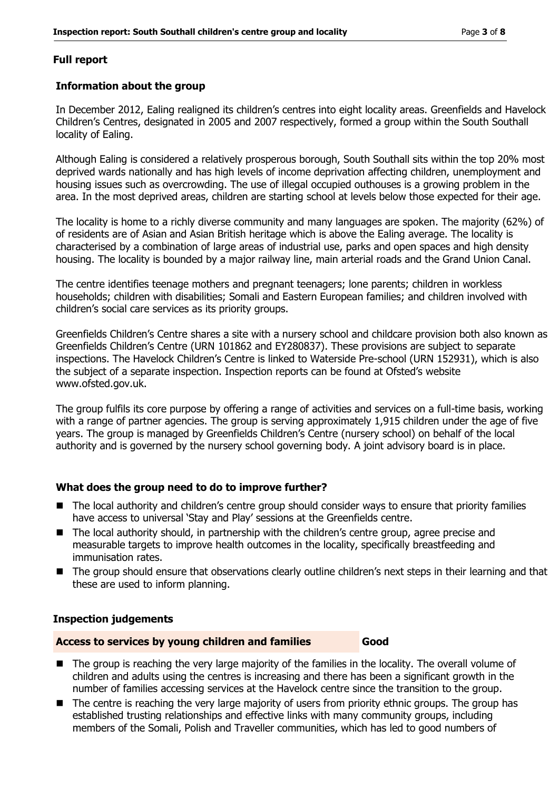#### **Full report**

#### **Information about the group**

In December 2012, Ealing realigned its children's centres into eight locality areas. Greenfields and Havelock Children's Centres, designated in 2005 and 2007 respectively, formed a group within the South Southall locality of Ealing.

Although Ealing is considered a relatively prosperous borough, South Southall sits within the top 20% most deprived wards nationally and has high levels of income deprivation affecting children, unemployment and housing issues such as overcrowding. The use of illegal occupied outhouses is a growing problem in the area. In the most deprived areas, children are starting school at levels below those expected for their age.

The locality is home to a richly diverse community and many languages are spoken. The majority (62%) of of residents are of Asian and Asian British heritage which is above the Ealing average. The locality is characterised by a combination of large areas of industrial use, parks and open spaces and high density housing. The locality is bounded by a major railway line, main arterial roads and the Grand Union Canal.

The centre identifies teenage mothers and pregnant teenagers; lone parents; children in workless households; children with disabilities; Somali and Eastern European families; and children involved with children's social care services as its priority groups.

Greenfields Children's Centre shares a site with a nursery school and childcare provision both also known as Greenfields Children's Centre (URN 101862 and EY280837). These provisions are subject to separate inspections. The Havelock Children's Centre is linked to Waterside Pre-school (URN 152931), which is also the subject of a separate inspection. Inspection reports can be found at Ofsted's website www.ofsted.gov.uk.

The group fulfils its core purpose by offering a range of activities and services on a full-time basis, working with a range of partner agencies. The group is serving approximately 1,915 children under the age of five years. The group is managed by Greenfields Children's Centre (nursery school) on behalf of the local authority and is governed by the nursery school governing body. A joint advisory board is in place.

#### **What does the group need to do to improve further?**

- The local authority and children's centre group should consider ways to ensure that priority families have access to universal 'Stay and Play' sessions at the Greenfields centre.
- The local authority should, in partnership with the children's centre group, agree precise and measurable targets to improve health outcomes in the locality, specifically breastfeeding and immunisation rates.
- The group should ensure that observations clearly outline children's next steps in their learning and that these are used to inform planning.

#### **Inspection judgements**

#### **Access to services by young children and families Good**

- The group is reaching the very large majority of the families in the locality. The overall volume of children and adults using the centres is increasing and there has been a significant growth in the number of families accessing services at the Havelock centre since the transition to the group.
- The centre is reaching the very large majority of users from priority ethnic groups. The group has established trusting relationships and effective links with many community groups, including members of the Somali, Polish and Traveller communities, which has led to good numbers of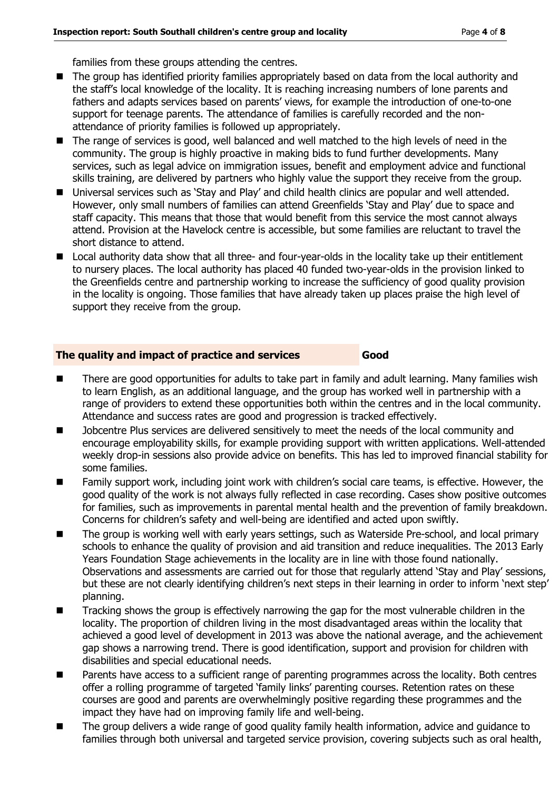families from these groups attending the centres.

- The group has identified priority families appropriately based on data from the local authority and the staff's local knowledge of the locality. It is reaching increasing numbers of lone parents and fathers and adapts services based on parents' views, for example the introduction of one-to-one support for teenage parents. The attendance of families is carefully recorded and the nonattendance of priority families is followed up appropriately.
- The range of services is good, well balanced and well matched to the high levels of need in the community. The group is highly proactive in making bids to fund further developments. Many services, such as legal advice on immigration issues, benefit and employment advice and functional skills training, are delivered by partners who highly value the support they receive from the group.
- Universal services such as 'Stay and Play' and child health clinics are popular and well attended. However, only small numbers of families can attend Greenfields 'Stay and Play' due to space and staff capacity. This means that those that would benefit from this service the most cannot always attend. Provision at the Havelock centre is accessible, but some families are reluctant to travel the short distance to attend.
- Local authority data show that all three- and four-year-olds in the locality take up their entitlement to nursery places. The local authority has placed 40 funded two-year-olds in the provision linked to the Greenfields centre and partnership working to increase the sufficiency of good quality provision in the locality is ongoing. Those families that have already taken up places praise the high level of support they receive from the group.

#### **The quality and impact of practice and services Good**

- There are good opportunities for adults to take part in family and adult learning. Many families wish to learn English, as an additional language, and the group has worked well in partnership with a range of providers to extend these opportunities both within the centres and in the local community. Attendance and success rates are good and progression is tracked effectively.
- Jobcentre Plus services are delivered sensitively to meet the needs of the local community and encourage employability skills, for example providing support with written applications. Well-attended weekly drop-in sessions also provide advice on benefits. This has led to improved financial stability for some families.
- Family support work, including joint work with children's social care teams, is effective. However, the good quality of the work is not always fully reflected in case recording. Cases show positive outcomes for families, such as improvements in parental mental health and the prevention of family breakdown. Concerns for children's safety and well-being are identified and acted upon swiftly.
- The group is working well with early years settings, such as Waterside Pre-school, and local primary schools to enhance the quality of provision and aid transition and reduce inequalities. The 2013 Early Years Foundation Stage achievements in the locality are in line with those found nationally. Observations and assessments are carried out for those that regularly attend 'Stay and Play' sessions, but these are not clearly identifying children's next steps in their learning in order to inform 'next step' planning.
- Tracking shows the group is effectively narrowing the gap for the most vulnerable children in the locality. The proportion of children living in the most disadvantaged areas within the locality that achieved a good level of development in 2013 was above the national average, and the achievement gap shows a narrowing trend. There is good identification, support and provision for children with disabilities and special educational needs.
- **Parents have access to a sufficient range of parenting programmes across the locality. Both centres** offer a rolling programme of targeted 'family links' parenting courses. Retention rates on these courses are good and parents are overwhelmingly positive regarding these programmes and the impact they have had on improving family life and well-being.
- The group delivers a wide range of good quality family health information, advice and quidance to families through both universal and targeted service provision, covering subjects such as oral health,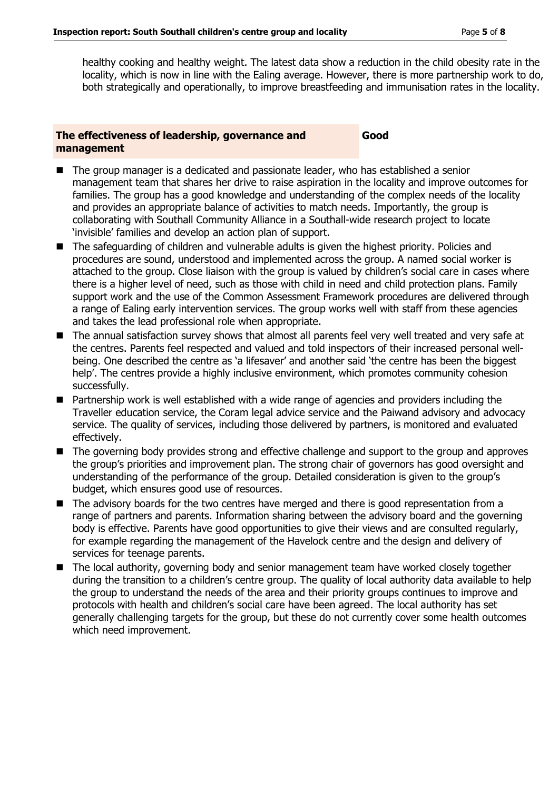healthy cooking and healthy weight. The latest data show a reduction in the child obesity rate in the locality, which is now in line with the Ealing average. However, there is more partnership work to do, both strategically and operationally, to improve breastfeeding and immunisation rates in the locality.

#### **The effectiveness of leadership, governance and management**

**Good**

- The group manager is a dedicated and passionate leader, who has established a senior management team that shares her drive to raise aspiration in the locality and improve outcomes for families. The group has a good knowledge and understanding of the complex needs of the locality and provides an appropriate balance of activities to match needs. Importantly, the group is collaborating with Southall Community Alliance in a Southall-wide research project to locate 'invisible' families and develop an action plan of support.
- The safeguarding of children and vulnerable adults is given the highest priority. Policies and procedures are sound, understood and implemented across the group. A named social worker is attached to the group. Close liaison with the group is valued by children's social care in cases where there is a higher level of need, such as those with child in need and child protection plans. Family support work and the use of the Common Assessment Framework procedures are delivered through a range of Ealing early intervention services. The group works well with staff from these agencies and takes the lead professional role when appropriate.
- The annual satisfaction survey shows that almost all parents feel very well treated and very safe at the centres. Parents feel respected and valued and told inspectors of their increased personal wellbeing. One described the centre as 'a lifesaver' and another said 'the centre has been the biggest help'. The centres provide a highly inclusive environment, which promotes community cohesion successfully.
- Partnership work is well established with a wide range of agencies and providers including the Traveller education service, the Coram legal advice service and the Paiwand advisory and advocacy service. The quality of services, including those delivered by partners, is monitored and evaluated effectively.
- The governing body provides strong and effective challenge and support to the group and approves the group's priorities and improvement plan. The strong chair of governors has good oversight and understanding of the performance of the group. Detailed consideration is given to the group's budget, which ensures good use of resources.
- The advisory boards for the two centres have merged and there is good representation from a range of partners and parents. Information sharing between the advisory board and the governing body is effective. Parents have good opportunities to give their views and are consulted regularly, for example regarding the management of the Havelock centre and the design and delivery of services for teenage parents.
- The local authority, governing body and senior management team have worked closely together during the transition to a children's centre group. The quality of local authority data available to help the group to understand the needs of the area and their priority groups continues to improve and protocols with health and children's social care have been agreed. The local authority has set generally challenging targets for the group, but these do not currently cover some health outcomes which need improvement.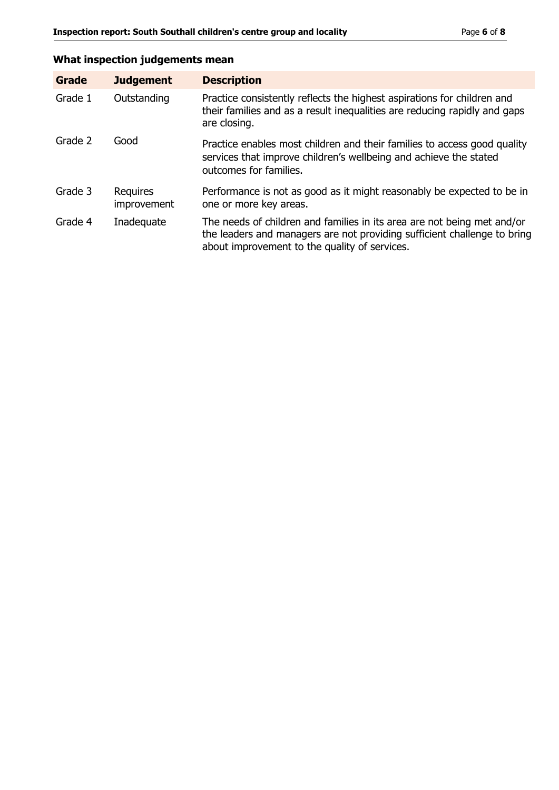# **What inspection judgements mean**

| Grade   | <b>Judgement</b>               | <b>Description</b>                                                                                                                                                                                   |
|---------|--------------------------------|------------------------------------------------------------------------------------------------------------------------------------------------------------------------------------------------------|
| Grade 1 | Outstanding                    | Practice consistently reflects the highest aspirations for children and<br>their families and as a result inequalities are reducing rapidly and gaps<br>are closing.                                 |
| Grade 2 | Good                           | Practice enables most children and their families to access good quality<br>services that improve children's wellbeing and achieve the stated<br>outcomes for families.                              |
| Grade 3 | <b>Requires</b><br>improvement | Performance is not as good as it might reasonably be expected to be in<br>one or more key areas.                                                                                                     |
| Grade 4 | Inadequate                     | The needs of children and families in its area are not being met and/or<br>the leaders and managers are not providing sufficient challenge to bring<br>about improvement to the quality of services. |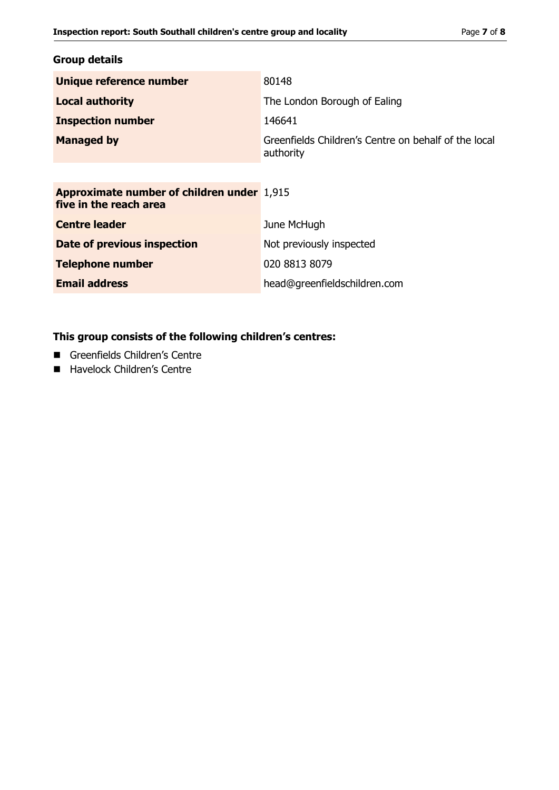### **Group details**

| Unique reference number                                                     | 80148                                                             |
|-----------------------------------------------------------------------------|-------------------------------------------------------------------|
| <b>Local authority</b>                                                      | The London Borough of Ealing                                      |
| <b>Inspection number</b>                                                    | 146641                                                            |
| <b>Managed by</b>                                                           | Greenfields Children's Centre on behalf of the local<br>authority |
|                                                                             |                                                                   |
| <b>Approximate number of children under 1,915</b><br>five in the reach area |                                                                   |
| <b>Centre leader</b>                                                        | June McHugh                                                       |
| Date of previous inspection                                                 | Not previously inspected                                          |
| <b>Telephone number</b>                                                     | 020 8813 8079                                                     |
| <b>Email address</b>                                                        | head@greenfieldschildren.com                                      |
|                                                                             |                                                                   |

# **This group consists of the following children's centres:**

- Greenfields Children's Centre
- Havelock Children's Centre